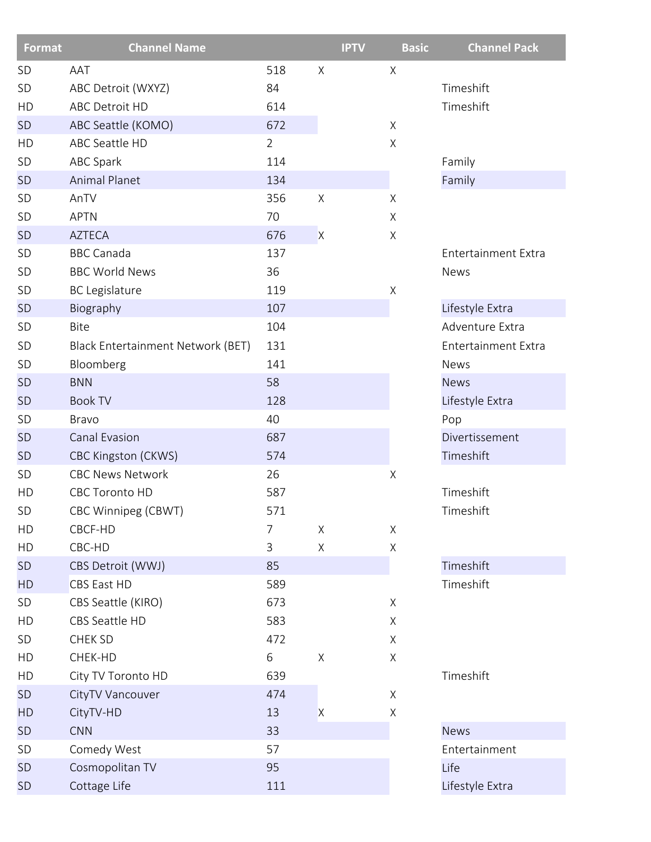| <b>Format</b> | <b>Channel Name</b>               |                |                | <b>IPTV</b> | <b>Basic</b> | <b>Channel Pack</b>        |
|---------------|-----------------------------------|----------------|----------------|-------------|--------------|----------------------------|
| <b>SD</b>     | AAT                               | 518            | X              |             | Χ            |                            |
| SD            | ABC Detroit (WXYZ)                | 84             |                |             |              | Timeshift                  |
| HD            | ABC Detroit HD                    | 614            |                |             |              | Timeshift                  |
| <b>SD</b>     | ABC Seattle (KOMO)                | 672            |                |             | Χ            |                            |
| HD            | ABC Seattle HD                    | $\overline{2}$ |                |             | Χ            |                            |
| SD            | <b>ABC Spark</b>                  | 114            |                |             |              | Family                     |
| <b>SD</b>     | <b>Animal Planet</b>              | 134            |                |             |              | Family                     |
| SD            | AnTV                              | 356            | $\mathsf X$    |             | Χ            |                            |
| <b>SD</b>     | <b>APTN</b>                       | 70             |                |             | X            |                            |
| <b>SD</b>     | <b>AZTECA</b>                     | 676            | $\overline{X}$ |             | Χ            |                            |
| SD            | <b>BBC Canada</b>                 | 137            |                |             |              | <b>Entertainment Extra</b> |
| SD            | <b>BBC World News</b>             | 36             |                |             |              | News                       |
| <b>SD</b>     | <b>BC</b> Legislature             | 119            |                |             | $\mathsf X$  |                            |
| <b>SD</b>     | Biography                         | 107            |                |             |              | Lifestyle Extra            |
| <b>SD</b>     | Bite                              | 104            |                |             |              | Adventure Extra            |
| <b>SD</b>     | Black Entertainment Network (BET) | 131            |                |             |              | <b>Entertainment Extra</b> |
| <b>SD</b>     | Bloomberg                         | 141            |                |             |              | <b>News</b>                |
| <b>SD</b>     | <b>BNN</b>                        | 58             |                |             |              | <b>News</b>                |
| <b>SD</b>     | <b>Book TV</b>                    | 128            |                |             |              | Lifestyle Extra            |
| <b>SD</b>     | <b>Bravo</b>                      | 40             |                |             |              | Pop                        |
| <b>SD</b>     | Canal Evasion                     | 687            |                |             |              | Divertissement             |
| <b>SD</b>     | <b>CBC Kingston (CKWS)</b>        | 574            |                |             |              | Timeshift                  |
| SD            | <b>CBC News Network</b>           | 26             |                |             | Χ            |                            |
| HD            | <b>CBC Toronto HD</b>             | 587            |                |             |              | Timeshift                  |
| SD            | CBC Winnipeg (CBWT)               | 571            |                |             |              | Timeshift                  |
| HD            | CBCF-HD                           | 7              | X              |             | Χ            |                            |
| HD            | CBC-HD                            | $\mathsf 3$    | Χ              |             | Χ            |                            |
| <b>SD</b>     | CBS Detroit (WWJ)                 | 85             |                |             |              | Timeshift                  |
| <b>HD</b>     | <b>CBS East HD</b>                | 589            |                |             |              | Timeshift                  |
| SD            | CBS Seattle (KIRO)                | 673            |                |             | Χ            |                            |
| HD            | CBS Seattle HD                    | 583            |                |             | X            |                            |
| SD            | CHEK SD                           | 472            |                |             | Χ            |                            |
| HD            | CHEK-HD                           | 6              | Χ              |             | Χ            |                            |
| HD            | City TV Toronto HD                | 639            |                |             |              | Timeshift                  |
| <b>SD</b>     | CityTV Vancouver                  | 474            |                |             | Χ            |                            |
| HD            | CityTV-HD                         | 13             | $\mathsf{X}$   |             | X            |                            |
| <b>SD</b>     | <b>CNN</b>                        | 33             |                |             |              | <b>News</b>                |
| SD            | Comedy West                       | 57             |                |             |              | Entertainment              |
| <b>SD</b>     | Cosmopolitan TV                   | 95             |                |             |              | Life                       |
| <b>SD</b>     | Cottage Life                      | 111            |                |             |              | Lifestyle Extra            |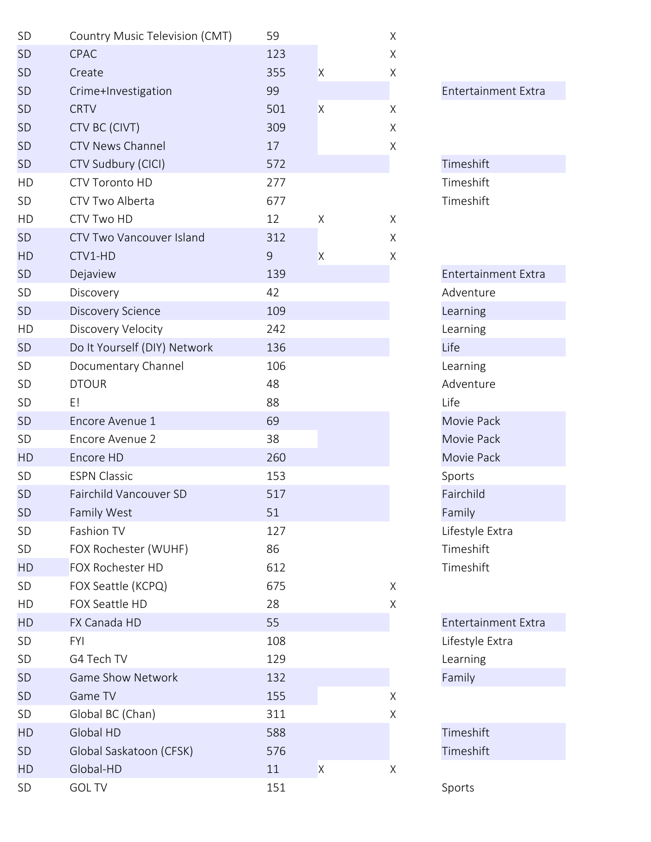| SD        | Country Music Television (CMT)  | 59  |         | X           |              |
|-----------|---------------------------------|-----|---------|-------------|--------------|
| <b>SD</b> | CPAC                            | 123 |         | Χ           |              |
| <b>SD</b> | Create                          | 355 | X       | X           |              |
| <b>SD</b> | Crime+Investigation             | 99  |         |             | Entertainn   |
| <b>SD</b> | <b>CRTV</b>                     | 501 | $\sf X$ | Χ           |              |
| <b>SD</b> | CTV BC (CIVT)                   | 309 |         | X           |              |
| <b>SD</b> | <b>CTV News Channel</b>         | 17  |         | X           |              |
| <b>SD</b> | CTV Sudbury (CICI)              | 572 |         |             | Timeshift    |
| HD        | CTV Toronto HD                  | 277 |         |             | Timeshift    |
| <b>SD</b> | CTV Two Alberta                 | 677 |         |             | Timeshift    |
| HD        | CTV Two HD                      | 12  | Χ       | X           |              |
| <b>SD</b> | <b>CTV Two Vancouver Island</b> | 312 |         | X           |              |
| <b>HD</b> | CTV1-HD                         | 9   | X       | Χ           |              |
| <b>SD</b> | Dejaview                        | 139 |         |             | Entertainn   |
| SD        | Discovery                       | 42  |         |             | Adventure    |
| <b>SD</b> | <b>Discovery Science</b>        | 109 |         |             | Learning     |
| HD        | Discovery Velocity              | 242 |         |             | Learning     |
| <b>SD</b> | Do It Yourself (DIY) Network    | 136 |         |             | Life         |
| SD        | Documentary Channel             | 106 |         |             | Learning     |
| SD        | <b>DTOUR</b>                    | 48  |         |             | Adventure    |
| <b>SD</b> | E!                              | 88  |         |             | Life         |
| <b>SD</b> | Encore Avenue 1                 | 69  |         |             | Movie Pac    |
| SD        | Encore Avenue 2                 | 38  |         |             | Movie Pac    |
| <b>HD</b> | Encore HD                       | 260 |         |             | Movie Pac    |
| <b>SD</b> | <b>ESPN Classic</b>             | 153 |         |             | Sports       |
| <b>SD</b> | Fairchild Vancouver SD          | 517 |         |             | Fairchild    |
| SD        | Family West                     | 51  |         |             | Family       |
| SD        | Fashion TV                      | 127 |         |             | Lifestyle Ex |
| SD        | FOX Rochester (WUHF)            | 86  |         |             | Timeshift    |
| <b>HD</b> | FOX Rochester HD                | 612 |         |             | Timeshift    |
| SD        | FOX Seattle (KCPQ)              | 675 |         | $\mathsf X$ |              |
| HD        | FOX Seattle HD                  | 28  |         | Χ           |              |
| <b>HD</b> | FX Canada HD                    | 55  |         |             | Entertainn   |
| SD        | <b>FYI</b>                      | 108 |         |             | Lifestyle Ex |
| SD        | G4 Tech TV                      | 129 |         |             | Learning     |
| <b>SD</b> | <b>Game Show Network</b>        | 132 |         |             | Family       |
| <b>SD</b> | Game TV                         | 155 |         | Χ           |              |
| SD        | Global BC (Chan)                | 311 |         | Χ           |              |
| <b>HD</b> | Global HD                       | 588 |         |             | Timeshift    |
| <b>SD</b> | Global Saskatoon (CFSK)         | 576 |         |             | Timeshift    |
| <b>HD</b> | Global-HD                       | 11  | X       | Χ           |              |
| SD        | <b>GOL TV</b>                   | 151 |         |             | Sports       |

Entertainment Extra Entertainment Extra Adventure Movie Pack Movie Pack Movie Pack Lifestyle Extra

Entertainment Extra Lifestyle Extra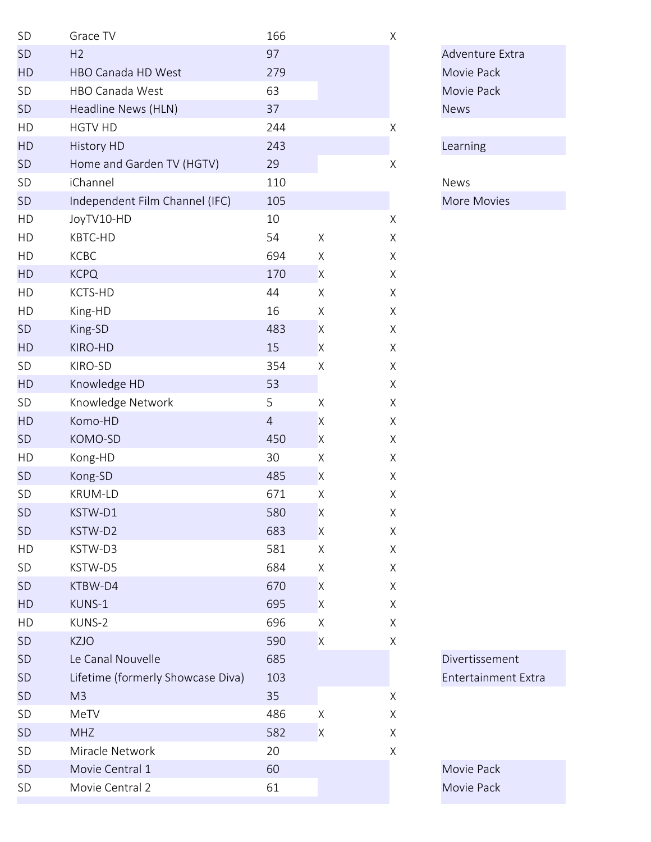| SD        | Grace TV                          | 166            |             | Χ           |                 |
|-----------|-----------------------------------|----------------|-------------|-------------|-----------------|
| <b>SD</b> | H <sub>2</sub>                    | 97             |             |             | Adventure Extra |
| HD        | HBO Canada HD West                | 279            |             |             | Movie Pack      |
| SD        | HBO Canada West                   | 63             |             |             | Movie Pack      |
| <b>SD</b> | Headline News (HLN)               | 37             |             |             | <b>News</b>     |
| HD        | <b>HGTV HD</b>                    | 244            |             | Χ           |                 |
| HD        | <b>History HD</b>                 | 243            |             |             | Learning        |
| <b>SD</b> | Home and Garden TV (HGTV)         | 29             |             | $\mathsf X$ |                 |
| SD        | iChannel                          | 110            |             |             | <b>News</b>     |
| <b>SD</b> | Independent Film Channel (IFC)    | 105            |             |             | More Movies     |
| HD        | JoyTV10-HD                        | 10             |             | $\mathsf X$ |                 |
| HD        | KBTC-HD                           | 54             | $\mathsf X$ | $\mathsf X$ |                 |
| HD        | KCBC                              | 694            | X           | $\mathsf X$ |                 |
| HD        | <b>KCPQ</b>                       | 170            | X           | $\mathsf X$ |                 |
| HD        | KCTS-HD                           | 44             | Χ           | X           |                 |
| HD        | King-HD                           | 16             | Χ           | $\mathsf X$ |                 |
| <b>SD</b> | King-SD                           | 483            | X           | X           |                 |
| <b>HD</b> | KIRO-HD                           | 15             | X           | $\mathsf X$ |                 |
| SD        | KIRO-SD                           | 354            | X           | X           |                 |
| HD        | Knowledge HD                      | 53             |             | $\mathsf X$ |                 |
| SD        | Knowledge Network                 | 5              | Χ           | $\mathsf X$ |                 |
| HD        | Komo-HD                           | $\overline{4}$ | X           | $\mathsf X$ |                 |
| <b>SD</b> | KOMO-SD                           | 450            | X           | X           |                 |
| HD        | Kong-HD                           | 30             | X           | X           |                 |
| <b>SD</b> | Kong-SD                           | 485            | X           | Χ           |                 |
| SD        | <b>KRUM-LD</b>                    | 671            | Χ           | Χ           |                 |
| <b>SD</b> | KSTW-D1                           | 580            | X           | X           |                 |
| <b>SD</b> | KSTW-D2                           | 683            | X           | $\mathsf X$ |                 |
| HD        | KSTW-D3                           | 581            | Χ           | X           |                 |
| SD        | KSTW-D5                           | 684            | X           | X           |                 |
| <b>SD</b> | KTBW-D4                           | 670            | X           | X           |                 |
| <b>HD</b> | KUNS-1                            | 695            | X           | X           |                 |
| HD        | KUNS-2                            | 696            | X           | X           |                 |
| <b>SD</b> | <b>KZJO</b>                       | 590            | X           | X           |                 |
| <b>SD</b> | Le Canal Nouvelle                 | 685            |             |             | Divertissement  |
| <b>SD</b> | Lifetime (formerly Showcase Diva) | 103            |             |             | Entertainment E |
| <b>SD</b> | M3                                | 35             |             | Χ           |                 |
| SD        | MeTV                              | 486            | X           | $\mathsf X$ |                 |
| <b>SD</b> | <b>MHZ</b>                        | 582            | X           | X           |                 |
| <b>SD</b> | Miracle Network                   | 20             |             | X           |                 |
| <b>SD</b> | Movie Central 1                   | 60             |             |             | Movie Pack      |
| SD        | Movie Central 2                   | 61             |             |             | Movie Pack      |

| Adventure Extra |  |
|-----------------|--|
| Movie Pack      |  |
| Movie Pack      |  |
| News            |  |
|                 |  |

Divertissement

Entertainment Extra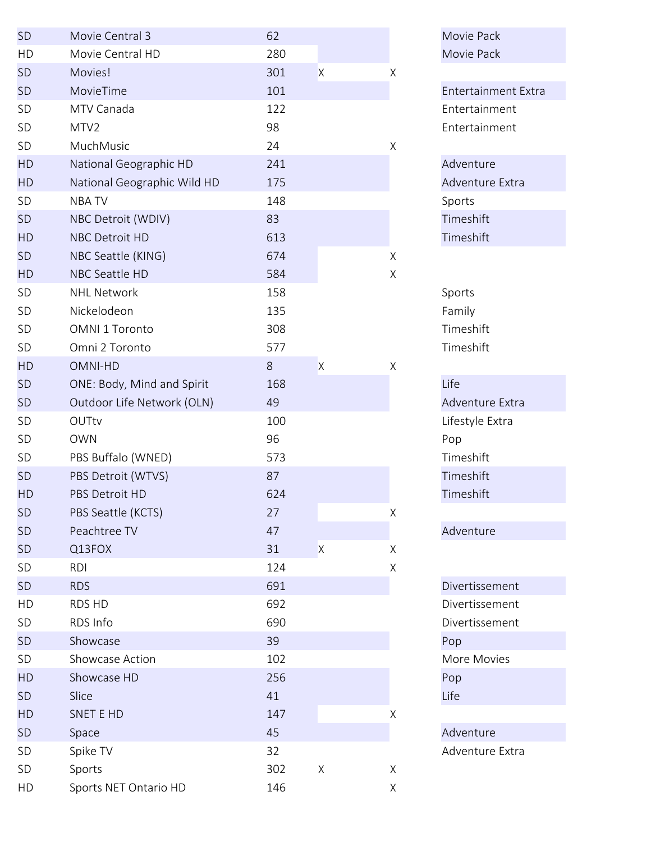| <b>SD</b> | Movie Central 3             | 62  |              |   | Movie Pac    |
|-----------|-----------------------------|-----|--------------|---|--------------|
| HD        | Movie Central HD            | 280 |              |   | Movie Pac    |
| <b>SD</b> | Movies!                     | 301 | $\mathsf{X}$ | Χ |              |
| <b>SD</b> | MovieTime                   | 101 |              |   | Entertainn   |
| SD        | MTV Canada                  | 122 |              |   | Entertainn   |
| SD        | MTV2                        | 98  |              |   | Entertainn   |
| SD        | MuchMusic                   | 24  |              | X |              |
| HD        | National Geographic HD      | 241 |              |   | Adventure    |
| HD        | National Geographic Wild HD | 175 |              |   | Adventure    |
| SD        | <b>NBATV</b>                | 148 |              |   | Sports       |
| <b>SD</b> | NBC Detroit (WDIV)          | 83  |              |   | Timeshift    |
| HD        | NBC Detroit HD              | 613 |              |   | Timeshift    |
| <b>SD</b> | NBC Seattle (KING)          | 674 |              | X |              |
| HD        | NBC Seattle HD              | 584 |              | Χ |              |
| SD        | <b>NHL Network</b>          | 158 |              |   | Sports       |
| SD        | Nickelodeon                 | 135 |              |   | Family       |
| SD        | OMNI 1 Toronto              | 308 |              |   | Timeshift    |
| SD        | Omni 2 Toronto              | 577 |              |   | Timeshift    |
| HD        | OMNI-HD                     | 8   | $\mathsf{X}$ | X |              |
| <b>SD</b> | ONE: Body, Mind and Spirit  | 168 |              |   | Life         |
| <b>SD</b> | Outdoor Life Network (OLN)  | 49  |              |   | Adventure    |
| SD        | OUTtv                       | 100 |              |   | Lifestyle Ex |
| SD        | <b>OWN</b>                  | 96  |              |   | Pop          |
| SD        | PBS Buffalo (WNED)          | 573 |              |   | Timeshift    |
| <b>SD</b> | PBS Detroit (WTVS)          | 87  |              |   | Timeshift    |
| HD        | PBS Detroit HD              | 624 |              |   | Timeshift    |
| <b>SD</b> | PBS Seattle (KCTS)          | 27  |              | Χ |              |
| <b>SD</b> | Peachtree TV                | 47  |              |   | Adventure    |
| <b>SD</b> | Q13FOX                      | 31  | $\mathsf{X}$ | Χ |              |
| SD        | <b>RDI</b>                  | 124 |              | Χ |              |
| <b>SD</b> | <b>RDS</b>                  | 691 |              |   | Divertisser  |
| HD        | <b>RDS HD</b>               | 692 |              |   | Divertisser  |
| SD        | RDS Info                    | 690 |              |   | Divertisser  |
| <b>SD</b> | Showcase                    | 39  |              |   | Pop          |
| SD        | Showcase Action             | 102 |              |   | More Mov     |
| <b>HD</b> | Showcase HD                 | 256 |              |   | Pop          |
| <b>SD</b> | Slice                       | 41  |              |   | Life         |
| <b>HD</b> | SNET E HD                   | 147 |              | Χ |              |
| <b>SD</b> | Space                       | 45  |              |   | Adventure    |
| SD        | Spike TV                    | 32  |              |   | Adventure    |
| SD        | Sports                      | 302 | $\mathsf X$  | X |              |
| HD        | Sports NET Ontario HD       | 146 |              | X |              |

Movie Pack Movie Pack Entertainment Extra Entertainment Entertainment Adventure Extra Adventure Extra Lifestyle Extra Adventure **Divertissement** Divertissement Divertissement

More Movies

Adventure Extra